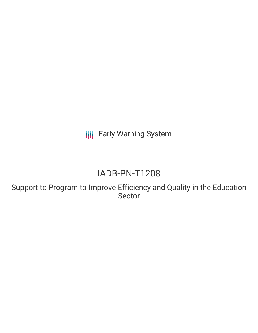**III** Early Warning System

# IADB-PN-T1208

Support to Program to Improve Efficiency and Quality in the Education Sector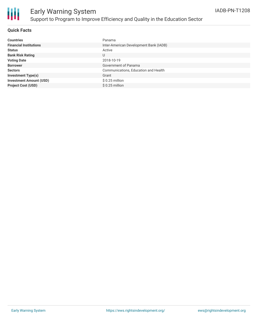

# Early Warning System Support to Program to Improve Efficiency and Quality in the Education Sector

#### **Quick Facts**

| <b>Countries</b>               | Panama                                 |
|--------------------------------|----------------------------------------|
| <b>Financial Institutions</b>  | Inter-American Development Bank (IADB) |
| <b>Status</b>                  | Active                                 |
| <b>Bank Risk Rating</b>        | U                                      |
| <b>Voting Date</b>             | 2018-10-19                             |
| <b>Borrower</b>                | Government of Panama                   |
| <b>Sectors</b>                 | Communications, Education and Health   |
| <b>Investment Type(s)</b>      | Grant                                  |
| <b>Investment Amount (USD)</b> | $$0.25$ million                        |
| <b>Project Cost (USD)</b>      | $$0.25$ million                        |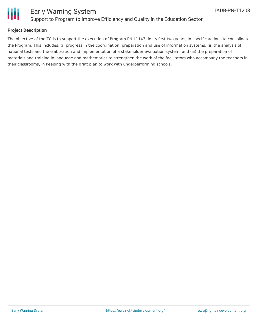

### Early Warning System Support to Program to Improve Efficiency and Quality in the Education Sector

#### **Project Description**

The objective of the TC is to support the execution of Program PN-L1143, in its first two years, in specific actions to consolidate the Program. This includes: (i) progress in the coordination, preparation and use of information systems; (ii) the analysis of national tests and the elaboration and implementation of a stakeholder evaluation system; and (iii) the preparation of materials and training in language and mathematics to strengthen the work of the facilitators who accompany the teachers in their classrooms, in keeping with the draft plan to work with underperforming schools.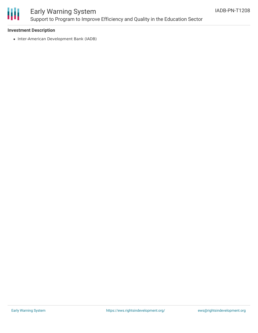

## Early Warning System Support to Program to Improve Efficiency and Quality in the Education Sector

#### **Investment Description**

• Inter-American Development Bank (IADB)